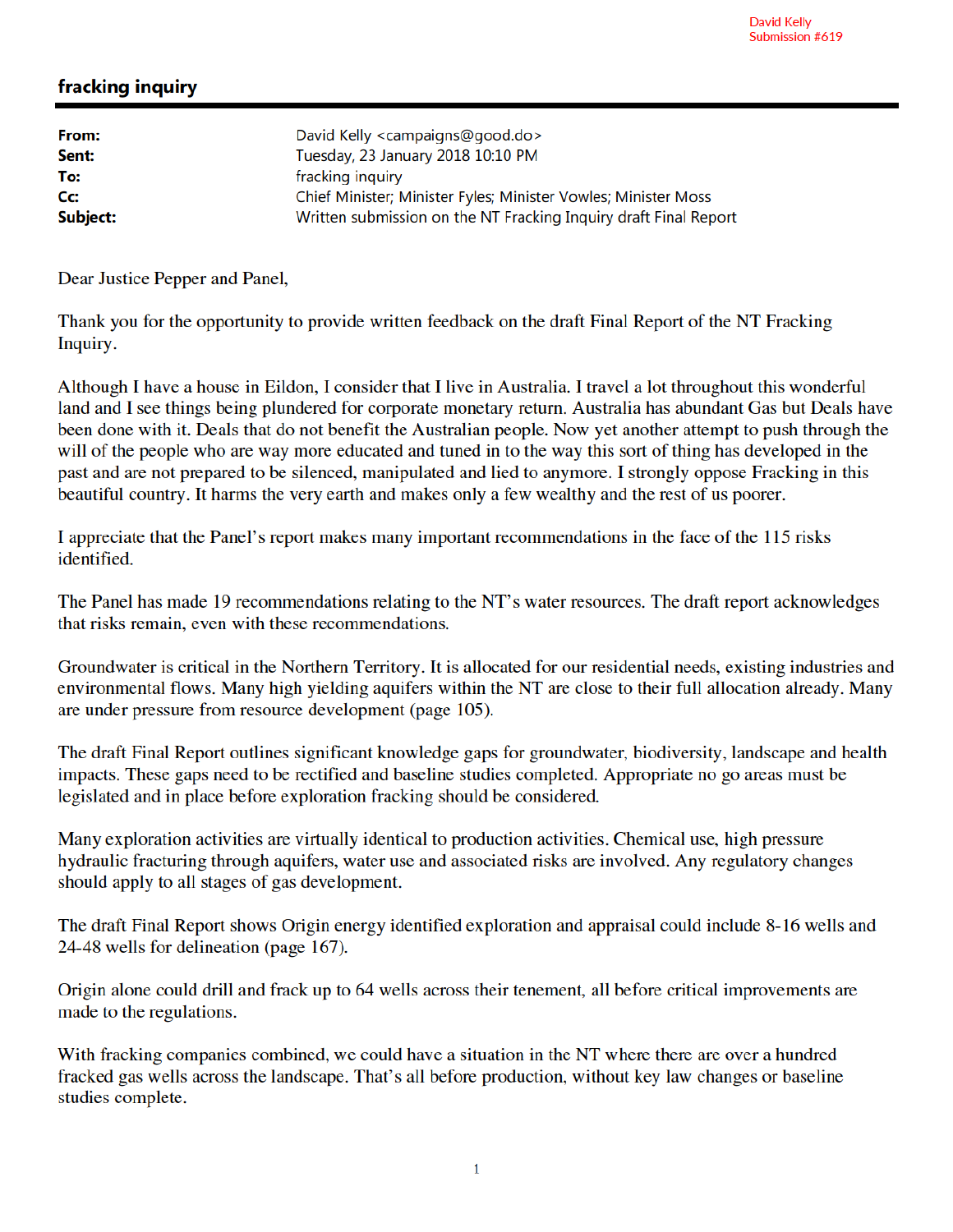## fracking inquiry

| David Kelly <campaigns@good.do></campaigns@good.do>              |
|------------------------------------------------------------------|
| Tuesday, 23 January 2018 10:10 PM                                |
|                                                                  |
| Chief Minister; Minister Fyles; Minister Vowles; Minister Moss   |
| Written submission on the NT Fracking Inquiry draft Final Report |
|                                                                  |

Dear Justice Pepper and Panel,

Thank you for the opportunity to provide written feedback on the draft Final Report of the NT Fracking Inquiry.

Although I have a house in Eildon, I consider that I live in Australia. I travel a lot throughout this wonderful land and I see things being plundered for corporate monetary return. Australia has abundant Gas but Deals have been done with it. Deals that do not benefit the Australian people. Now yet another attempt to push through the will of the people who are way more educated and tuned in to the way this sort of thing has developed in the past and are not prepared to be silenced, manipulated and lied to anymore. I strongly oppose Fracking in this beautiful country. It harms the very earth and makes only a few wealthy and the rest of us poorer.

I appreciate that the Panel's report makes many important recommendations in the face of the 115 risks identified.

The Panel has made 19 recommendations relating to the NT's water resources. The draft report acknowledges that risks remain, even with these recommendations.

Groundwater is critical in the Northern Territory. It is allocated for our residential needs, existing industries and environmental flows. Many high yielding aquifers within the NT are close to their full allocation already. Many are under pressure from resource development (page 105).

The draft Final Report outlines significant knowledge gaps for groundwater, biodiversity, landscape and health impacts. These gaps need to be rectified and baseline studies completed. Appropriate no go areas must be legislated and in place before exploration fracking should be considered.

Many exploration activities are virtually identical to production activities. Chemical use, high pressure hydraulic fracturing through aquifers, water use and associated risks are involved. Any regulatory changes should apply to all stages of gas development.

The draft Final Report shows Origin energy identified exploration and appraisal could include 8-16 wells and 24-48 wells for delineation (page 167).

Origin alone could drill and frack up to 64 wells across their tenement, all before critical improvements are made to the regulations.

With fracking companies combined, we could have a situation in the NT where there are over a hundred fracked gas wells across the landscape. That's all before production, without key law changes or baseline studies complete.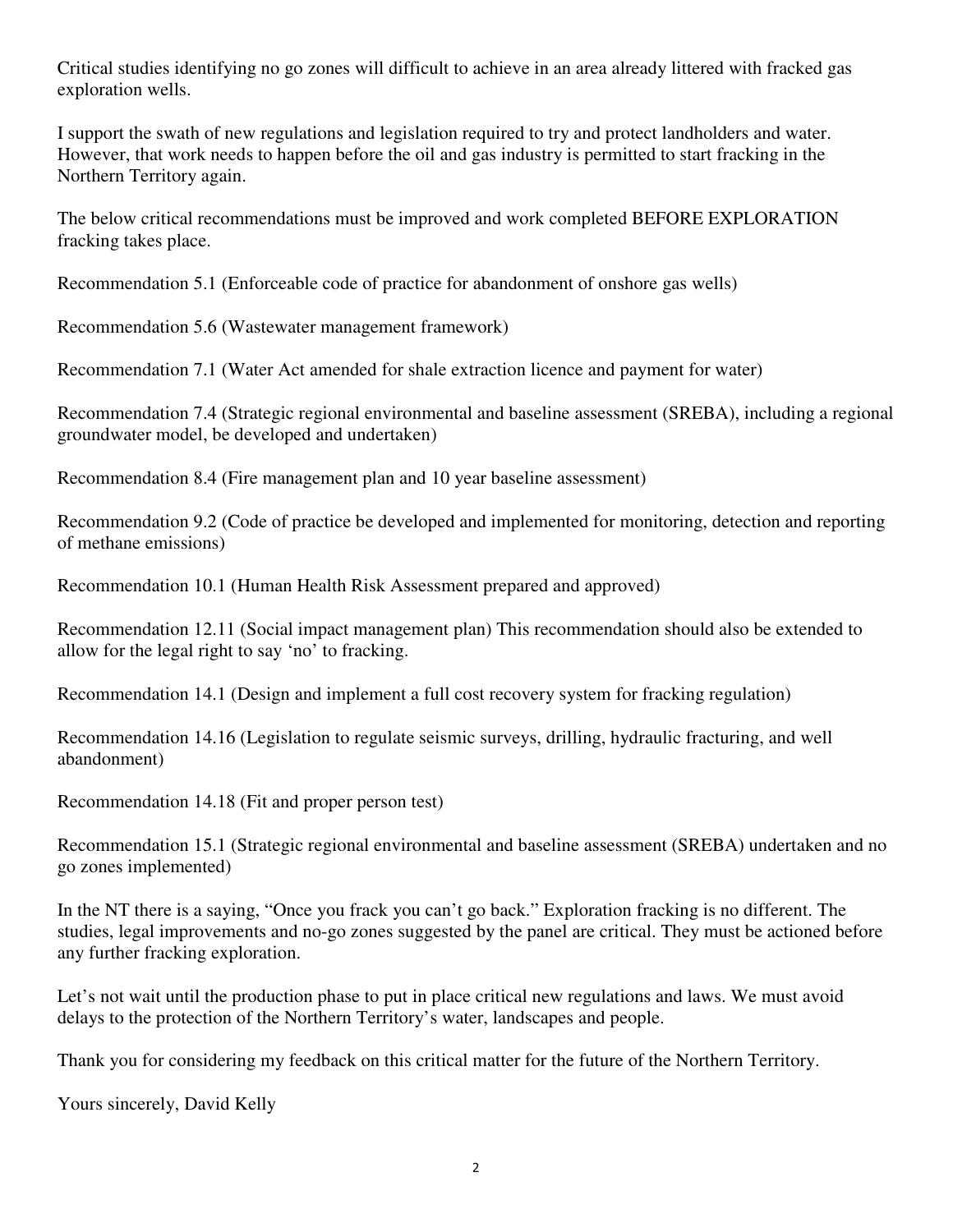Critical studies identifying no go zones will difficult to achieve in an area already littered with fracked gas exploration wells.

I support the swath of new regulations and legislation required to try and protect landholders and water. However, that work needs to happen before the oil and gas industry is permitted to start fracking in the Northern Territory again.

The below critical recommendations must be improved and work completed BEFORE EXPLORATION fracking takes place.

Recommendation 5.1 (Enforceable code of practice for abandonment of onshore gas wells)

Recommendation 5.6 (Wastewater management framework)

Recommendation 7.1 (Water Act amended for shale extraction licence and payment for water)

Recommendation 7.4 (Strategic regional environmental and baseline assessment (SREBA), including a regional groundwater model, be developed and undertaken)

Recommendation 8.4 (Fire management plan and 10 year baseline assessment)

Recommendation 9.2 (Code of practice be developed and implemented for monitoring, detection and reporting of methane emissions)

Recommendation 10.1 (Human Health Risk Assessment prepared and approved)

Recommendation 12.11 (Social impact management plan) This recommendation should also be extended to allow for the legal right to say 'no' to fracking.

Recommendation 14.1 (Design and implement a full cost recovery system for fracking regulation)

Recommendation 14.16 (Legislation to regulate seismic surveys, drilling, hydraulic fracturing, and well abandonment)

Recommendation 14.18 (Fit and proper person test)

Recommendation 15.1 (Strategic regional environmental and baseline assessment (SREBA) undertaken and no go zones implemented)

In the NT there is a saying, "Once you frack you can't go back." Exploration fracking is no different. The studies, legal improvements and no-go zones suggested by the panel are critical. They must be actioned before any further fracking exploration.

Let's not wait until the production phase to put in place critical new regulations and laws. We must avoid delays to the protection of the Northern Territory's water, landscapes and people.

Thank you for considering my feedback on this critical matter for the future of the Northern Territory.

Yours sincerely, David Kelly